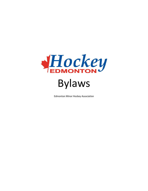

Edmonton Minor Hockey Association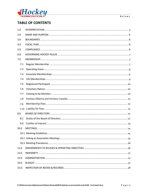

# **TABLE OF CONTENTS**

| 1.0  |  |
|------|--|
| 2.0  |  |
| 3.0  |  |
| 4.0  |  |
| 5.0  |  |
| 6.0  |  |
| 7.0  |  |
| 7.1  |  |
| 7.2  |  |
| 7.3  |  |
| 7.4  |  |
| 7.5  |  |
| 7.6  |  |
| 7.7  |  |
| 7.8  |  |
| 7.9  |  |
| 7.10 |  |
| 8.0  |  |
| 8.1  |  |
| 9.0  |  |
| 10.0 |  |
|      |  |
|      |  |
|      |  |
| 11.0 |  |
| 12.0 |  |
| 13.0 |  |
| 14.0 |  |
| 15.0 |  |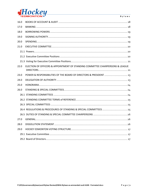

| 16.0 |                                                                                |
|------|--------------------------------------------------------------------------------|
| 17.0 |                                                                                |
| 18.0 |                                                                                |
| 19.0 |                                                                                |
| 20.0 |                                                                                |
| 21.0 |                                                                                |
|      |                                                                                |
|      |                                                                                |
|      |                                                                                |
| 22.0 | ELECTION OF OFFICERS & APPOINTMENT OF STANDING COMMITTEE CHAIRPERSONS & LEAGUE |
| 23.0 |                                                                                |
| 24.0 |                                                                                |
| 25.0 |                                                                                |
| 26.0 |                                                                                |
|      |                                                                                |
|      |                                                                                |
|      |                                                                                |
|      |                                                                                |
|      |                                                                                |
| 27.0 |                                                                                |
| 28.0 |                                                                                |
| 29.0 |                                                                                |
|      |                                                                                |
|      |                                                                                |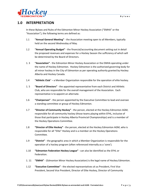

# <span id="page-3-0"></span>**1.0 INTERPRETATION**

In these Bylaws and Rules of the Edmonton Minor Hockey Association ("EMHA" or the "Association"), the following terms are defined as:

- 1.1 **"Annual General Meeting"** the Association meeting open to all Members, typically held on the second Wednesday of May.
- 1.2 **"Annual Operating Budget"** the financial/accounting document setting out in detail the proposed revenues and expenses for a Hockey Season the sufficiency of which will be determined by the Board of Directors.
- 1. 3 **"Association"** the Edmonton Minor Hockey Association or the EMHA operating under the name of Hockey Edmonton. Hockey Edmonton is the authorized governing body for all minor hockey in the City of Edmonton as per operating authority granted by Hockey Alberta and Hockey Canada.
- 1.4 **"Athletic Club**" a Member Organization responsible for the operation of elite hockey.
- 1. 5 **"Board of Directors"** the appointed representative from each District and Athletic Club, who are responsible for the overall management of the Association. Each representative is to appoint an alternate.
- 1.6 **"Chairperson"** the person appointed by the Executive Committee to lead and oversee a standing committee or group of Hockey Edmonton.
- 1.7 **"Director of Community Hockey"** the person, elected at the Hockey Edmonton AGM, responsible for all community hockey (those teams playing within EFHL, inclusive of those that participate in Hockey Alberta Provincial Championships) and is a member of the Hockey Operations Committee.
- 1.8 **"Director of Elite Hockey"** the person, elected at the Hockey Edmonton AGM, who is responsible for all "Elite" Hockey and is a member on the Hockey Operations Committee.
- 1.9 **"District"** the geographic area in which a Member Organization is responsible for the operation of a hockey program (often referenced internally as a 'zone').
- 1.10 **"Edmonton Federation Hockey League"** can also be identified as the EFHL or Federation.
- 1. 11 **"EMHA"** (Edmonton Minor Hockey Association) is the legal name of Hockey Edmonton.
- 1.12 **"Executive Committee"** the elected representatives sit as President, First Vice President, Second Vice President, Director of Elite Hockey, Director of Community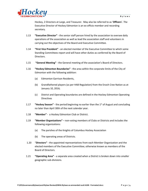

Hockey, 2 Directors at Large, and Treasurer. May also be referred to as '**Officers**'. The Executive Director of Hockey Edmonton is an ex-officio member and recording secretary.

- 1.13 **"Executive Director"** the senior staff person hired by the association to oversee daily operations of the association as well as lead the association staff and volunteers in carrying out the objectives of the Board and Executive Committee.
- 1.14 **"First Vice President"** an elected member of the Executive Committee to which some Standing Committees report and will have other duties as conferred by the Board of Directors.
- 1.15 **"General Meeting"** the General meeting of the association's Board of Directors.
- 1.16 **"Hockey Edmonton Boundaries"** the area within the corporate limits of the City of Edmonton with the following addition:
	- (a) Edmonton Garrison Residents,
	- (b) Grandfathered players (as per HAB Regulation) from the Enoch Cree Nation as at January 10, 2016;
	- (c) District and Operating boundaries are defined in the Hockey Edmonton Operating Directives
- 1.17 **"Hockey Season"** the period beginning no earlier than the 1st of August and concluding no later than April 30th of the next calendar year.
- 1.18 **"Member"** a Hockey Edmonton Club or District.
- 1.19 **"Member Organizations"** non-voting members of Clubs or Districts and includes the following organizations:
	- (a) The parishes of the Knights of Columbus Hockey Association
	- (b) The operating areas of Districts.
- 1.20 "**Directors"** the appointed representatives from each Member Organization and the elected members of the Executive Committee; otherwise known as members of the Board of Directors.
- 1.21 **"Operating Area"** a separate area created when a District is broken down into smaller geographic sub-divisions.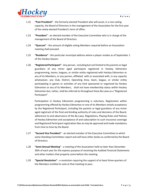

- 1.22 **"Past President"** the formerly elected President who will assist, in a non-voting capacity, the Board of Directors in the management of the Association for the first year of the newly elected President's term of office.
- 1.23 **"President"** an elected member of the Executive Committee who is in charge of the management of the Board of Directors.
- 1.24 **"Quorum"** the amount of eligible voting Members required before an Association meeting shall proceed.
- 1.25 **"Residence"** the particular municipal address where a player resides as of September 1 of the Hockey Season.
- 1.26 **"Registered Participant"** Any person, including but not limited to the parents or legal guardians of any minor aged participant registered in Hockey Edmonton programming, teams, leagues, or similar entity registered with Hockey Edmonton or any of its Members, or any person, affiliated with or associated with, in any capacity whatsoever, any Club, District, Operating Area, team, league, or similar entity participating in games or activities of any kind sponsored or organized by Hockey Edmonton or any of its Members, shall not have membership status within Hockey Edmonton but, rather, shall be referred to throughout these By-Laws as a "Registered Participant".

Participation in Hockey Edmonton programming is voluntary. Registration within programming offered by Hockey Edmonton or one of its Members entails acceptance by the Registered Participant, including the parents or legal guardians of any minor aged registrant of the final and binding authority of rules and decisions of the Board, adherence to and observance of the By-Laws, Regulations, Playing Rules and Policies of Hockey Edmonton and acceptance of and subscription to such insurance coverage and Registered Participant registration fees as may be approved and made mandatory from time to time by the Board.

- 1.27 **"Second Vice President"** an elected member of the Executive Committee to which some Standing Committees report and will have other duties as conferred by the Board of Directors.
- 1.28 **"Semi-Annual Meeting"**  a meeting of the Association held no later than December 30th of each year for the express purpose of receiving the Audited Financial Statements and other matters that properly come before the meeting.
- 1.29 **"Special Resolution"** a resolution requiring the support of at least three-quarters of the Members entitled to vote at that meeting to pass.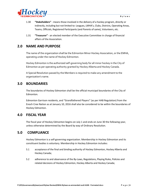

- 1.30 **"Stakeholders"** means those involved in the delivery of a hockey program, directly or indirectly, including but not limited to: Leagues, LMHA's, Clubs, Districts, Operating Areas, Teams, Officials, Registered Participants (and Parents of same), Volunteers, etc.
- 1.31 **"Treasurer"** an elected member of the Executive Committee in charge of financial affairs of the Association.

# <span id="page-6-0"></span>**2.0 NAME AND PURPOSE**

The name of the organization shall be the Edmonton Minor Hockey Association, or the EMHA, operating under the name of Hockey Edmonton.

Hockey Edmonton is the authorized self-governing body for all minor hockey in the City of Edmonton as per operating authority granted by Hockey Alberta and Hockey Canada.

A Special Resolution passed by the Members is required to make any amendment to the organization's name.

# <span id="page-6-1"></span>**3.0 BOUNDARIES**

The boundaries of Hockey Edmonton shall be the official municipal boundaries of the City of Edmonton.

Edmonton Garrison residents, and "Grandfathered Players" (as per HAB Regulation) from the Enoch Cree Nation as at January 10, 2016 shall also be considered to be within the boundaries of Hockey Edmonton.

# <span id="page-6-2"></span>**4.0 FISCAL YEAR**

The fiscal year of Hockey Edmonton begins on July 1 and ends on June 30 the following year, unless otherwise determined by the Board by way of Ordinary Resolution.

### <span id="page-6-3"></span>**5.0 COMPLIANCE**

Hockey Edmonton is a self-governing organization. Membership in Hockey Edmonton and its constituent bodies is voluntary. Membership in Hockey Edmonton includes:

- 5.1 acceptance of the final and binding authority of Hockey Edmonton, Hockey Alberta and Hockey Canada;
- 5.2 adherence to and observance of the By-Laws, Regulations, Playing Rules, Policies and related decisions of Hockey Edmonton, Hockey Alberta and Hockey Canada;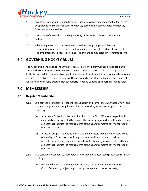

- 5.3 acceptance of and subscription to such insurance coverage and membership fees as may be approved and made mandatory by Hockey Edmonton, Hockey Alberta and Hockey Canada from time to time;
- 5.4 acceptance of the final and binding authority of the IIHF in relation to all international matters;
- 5.5 acknowledgement that the Members share the same goals, philosophies and responsibilities and are to be governed by a uniform set of rules and regulations that Hockey Edmonton, Hockey Alberta and Hockey Canada may establish from time to time.

# <span id="page-7-0"></span>**6.0 GOVERNING HOCKEY RULES**

The Association shall adopt the Official Hockey Rules of Hockey Canada as adopted and amended from time to time by Hockey Canada. The Association shall have the power to institute such additional rules to apply to members of the Association so long as these rules are not less restrictive than the rules of Hockey Alberta and Hockey Canada and these rules would not contravene existing Hockey Alberta, Hockey Canada or governing league rules.

# <span id="page-7-1"></span>**7.0 MEMBERSHIP**

### <span id="page-7-2"></span>**7.1 Regular Membership**

- 7.1.1 Subject to the conditions precedent set out herein and compliance with these Bylaws and the Operating Directives, regular membership in Hockey Edmonton is open to the following:
	- (a) An Athletic Club within the municipal limits of the City of Edmonton specifically chartered and incorporated to deliver elite hockey programs for male and or female athletes that satisfies the requirements of the Board from time to time for regular membership; and
	- (b) A District program operating within a defined territory within the municipal limits of the City of Edmonton specifically chartered and incorporated to deliver recreational, community and/or competitive hockey programs for male and female athletes that satisfies the requirements of the Board from time to time for regular membership
- 7.1.2 As a condition precedent to membership in Hockey Edmonton, each prospective Member shall agree that:
	- (a) Hockey Edmonton is the sovereign authority concerning Amateur hockey in the City of Edmonton, subject only to the right of appeal to Hockey Alberta;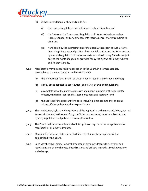

- (b) it shall unconditionally obey and abide by:
	- (i) the Bylaws, Regulations and policies of Hockey Edmonton; and
	- (ii) the Rules and the Bylaws and Regulations of Hockey Alberta as well as Hockey Canada; and any amendments thereto as are in force from time to time; and
	- (iii) it will abide by the interpretation of the Board with respect to such Bylaws, Operating Directives and policies of Hockey Edmonton and the Rules and the bylaws and regulations of Hockey Alberta as well as Hockey Canada, subject only to the rights of appeal as provided for by the bylaws of Hockey Alberta and Hockey Canada.
- 7.1.3 Membership may be acquired by application to the Board, in a form reasonably acceptable to the Board together with the following:
	- (a) the annual dues for Members as determined in section 7.9: Membership Fees;
	- (b) a copy of the applicant's constitution, objectives, bylaws and regulations;
	- (c) a complete list of the names, addresses and phone numbers of the applicant's officers, which shall consist of at least a president and secretary; and
	- (d) the address of the applicant for notice, including, but not limited to, an email address if the applicant wishes to provide one.
- 7.1.4 The constitution, bylaws and regulations of the applicant may be more restrictive, but not less restrictive and, in the case of any conflict or inconsistency, must be subject to the Bylaws, Regulations and policies of Hockey Edmonton.
- 7.1.5 The Board shall have the sole and absolute right to accept or refuse an application for membership in Hockey Edmonton.
- 7.1.6 Membership in Hockey Edmonton shall take effect upon the acceptance of the application by the Board.
- 7.1.7 Each Member shall notify Hockey Edmonton of any amendments to its bylaws and regulations and of any changes of its directors and officers, immediately following any such change.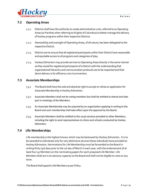

### <span id="page-9-0"></span>**7.2 Operating Areas**

- 7.2.1 Districts shall have the authority to create administrative units, referred to as Operating Areas (or Parishes when referring to Knights of Columbus) to better manage the delivery of hockey programs within their respective Districts.
- 7.2.2 Stewardship and oversight of Operating Areas, of all nature, has been delegated to the respective District.
- 7.2.3 Districts are to ensure that all registered participants within their District have reasonable and equitable access to all programs and categories of play.
- 7.2.4 Hockey Edmonton may provide services to Operating Areas directly in the same manner as they would for registered participants of a District with the understanding that organizational hierarchy and communication protocols are to be respected and that direct delivery is for efficiency not circumvention.

### <span id="page-9-1"></span>**7.3 Associate Memberships**

- 7.3.1 The Board shall have the sole and absolute right to accept or refuse an application for Associate Membership in Hockey Edmonton.
- 7.3.2 Associate Members shall not be voting members but shall be entitled to attend and take part in meetings of the Members.
- 7.3.3 An Associate Membership may be acquired by an organization applying in writing to the Board and such membership shall take effect upon the approval by the Board.
- 7.3.4 Associate Members shall be entitled to the usual services provided to other Members, including the right to send representatives to clinics and schools conducted by Hockey Edmonton.

### <span id="page-9-2"></span>**7.4 Life Memberships**

Life membership is the highest honour which may be bestowed by Hockey Edmonton. It is to be awarded to individuals only for very distinctive services those individuals have provided to Hockey Edmonton. Nominations for Life Membership must be forwarded to the Board in writing thirty (30) days prior to the 1st day of March in each year, with the endorsement of at least four (4) Members on the nominating papers for each proposed Life Member. Life Members shall act in an advisory capacity to the Board and shall not be eligible to vote on any issue.

The Board shall appoint Life Members as per Policy.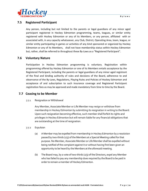

### <span id="page-10-0"></span>**7.5 Registered Participant**

Any person, including but not limited to the parents or legal guardians of any minor aged participant registered in Hockey Edmonton programming, teams, leagues, or similar entity registered with Hockey Edmonton or any of its Members, or any person, affiliated with or associated with, in any capacity whatsoever, any Club, District, Operating Area, team, league, or similar entity participating in games or activities of any kind sponsored or organized by Hockey Edmonton or any of its Members, shall not have membership status within Hockey Edmonton but, rather, shall be referred to throughout these By-Laws as a "Registered Participant".

### <span id="page-10-1"></span>**7.6 Voluntary Nature**

Participation in Hockey Edmonton programming is voluntary. Registration within programming offered by Hockey Edmonton or one of its Members entails acceptance by the Registered Participant, including the parents or legal guardians of any minor aged registrant of the final and binding authority of rules and decisions of the Board, adherence to and observance of the By-Laws, Regulations, Playing Rules and Policies of Hockey Edmonton and acceptance of and subscription to such insurance coverage and Registered Participant registration fees as may be approved and made mandatory from time to time by the Board.

### <span id="page-10-2"></span>**7.7 Ceasing to be Member**

### 7.7.1 Resignation or Withdrawal

Any Member, Associate Member or Life Member may resign or withdraw from membership in Hockey Edmonton by submitting its resignation in writing to the Board. Upon such resignation becoming effective, such member shall forfeit its rights and privileges in Hockey Edmonton but will remain liable for any financial obligations that are outstanding at the time of resignation.

- 7.7.2 Expulsion
	- (a) A Member may be expelled from membership in Hockey Edmonton by a resolution passed by two-thirds (2/3) of the Members at a Special Meeting called for that purpose. No Member, Associate Member or Life Member shall be expelled without being notified of the complaint against it or without having first been given an opportunity to be heard by the Members at the aforesaid meeting.
	- (b) The Board may, by a vote of two-thirds (2/3) of the Directors, expel any Member who has failed to pay any membership dues required by the Board to be paid in order to remain a member of Hockey Edmonton.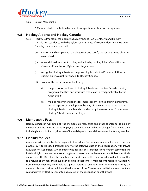

7.7.3 Loss of Membership

A Member shall cease to be a Member by resignation, withdrawal or expulsion.

# <span id="page-11-0"></span>**7.8 Hockey Alberta and Hockey Canada**

- 7.8.1 Hockey Edmonton shall operate as a member of Hockey Alberta and Hockey Canada. In accordance with the bylaw requirements of Hockey Alberta and Hockey Canada, the Association shall:
	- (a) conform and comply with the objectives and satisfy the requirements of same as required;
	- (b) unconditionally commit to obey and abide by Hockey Alberta's and Hockey Canada's Constitution, Bylaws and Regulations;
	- (c) recognize Hockey Alberta as the governing body in the Province of Alberta subject only to a right of appeal to Hockey Canada;
	- (d) work for the betterment of hockey by:
		- (i) the promotion and use of Hockey Alberta and Hockey Canada training programs, facilities and literature where considered practicable by the Association;
		- (ii) making recommendations for improvement in rules, training programs, and all aspects of development by way of presentations to the various Hockey Alberta councils and attendance by the Association Executive at Hockey Alberta annual meetings.

### <span id="page-11-1"></span>**7.9 Membership Fees**

Hockey Edmonton will establish the membership fees, dues and other charges to be paid by members and the time and terms for paying such fees, dues and other charges from time to time, including but not limited to, the costs of ice and deposits toward the costs for ice for any member.

### <span id="page-11-2"></span>**7.10 Liability for Fees**

A member will remain liable for payment of any dues, fees or amounts levied or which become payable by it to Hockey Edmonton prior to the effective date of their resignation, withdrawal, expulsion or suspension. Any member who resigns or is expelled from Hockey Edmonton will forfeit all right, claim and interest arising from or associated with membership. Unless specifically approved by the Directors, the member who has been expelled or suspended will not be entitled to a refund of any fees that have been paid up to that time. A member who resigns or withdraws from membership may be eligible to a partial refund of any dues, fees or amounts paid by the member. Any such refund will be at the discretion of the Directors and will take into account any costs incurred by Hockey Edmonton as a result of the resignation or withdrawal.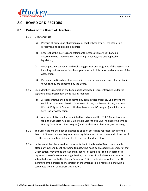

# <span id="page-12-0"></span>**8.0 BOARD OF DIRECTORS**

### <span id="page-12-1"></span>**8.1 Duties of the Board of Directors**

- 8.1.1 Directors must:
	- (a) Perform all duties and obligations required by these Bylaws, the Operating Directives, and applicable legislation;
	- (b) Ensure that the business and affairs of the Association are conducted in accordance with these Bylaws, Operating Directives, and any applicable legislation;
	- (c) Participate in developing and evaluating policies and programs of the Association including policies respecting the organization, administration and operation of the Association;
	- (d) Participate in Board meetings, committee meetings and meetings of other bodies to which they are appointed by the Board.
- 8.1.2 Each Member Organization shall appoint its accredited representative(s) under the signature of its president in the following manner:
	- (a) A representative shall be appointed by each district of Hockey Edmonton; one each from Northwest District, Northeast District, Southwest District, Southeast District, Knights of Columbus Hockey Association (BB program) and Edmonton Girls Hockey Association;
	- (b) A representative shall be appointed by each club of the "Elite" Council; one each from the Canadian Athletic Club, Maple Leaf Athletic Club, Knights of Columbus Hockey Association (Elite program) and South Side Athletic Club, respectively;
- 8.1.3 The Organizations shall not be entitled to appoint accredited representatives to the Board of Directors unless they advise Hockey Edmonton of the names and addresses of its officers who shall consist of at least a president and secretary.
- 8.1.4 In the event that the accredited representative to the Board of Directors is unable to attend any General Meeting, their alternate, who must be an executive member of that Organization, may attend the General Meeting in their place. To be an accredited representative of the member organization, the name of such alternate is required to be submitted in writing to the Hockey Edmonton Office the beginning of the year. The signature of the president or secretary of the Organization is required along with a completed Conflict of Interest Declaration.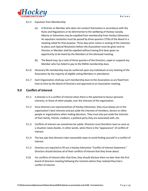

#### 8.1.5 Expulsion from Membership:

- (a) A Director or Member who does not conduct themselves in accordance with the Rules and Regulations or be detrimental to the wellbeing of Hockey Canada, Alberta or Edmonton may be expelled from membership from Hockey Edmonton. An expulsion resolution must be passed by three quarters (75%) of the Board in a meeting called for that purpose. Thirty days prior notice in writing of the intention to place such Special Resolution before the Association must be given and no Director or Member shall be expelled without having first been given an opportunity to be heard by the Members at the aforesaid meeting.
- (b) The Board may, by a vote of three quarters of the Directors, expel or suspend any Member who has failed to pay to the EMHA membership dues.
- 8.1.6 Honorary life membership may be conferred upon any individuals at any meeting of the Association by the majority of eligible voting Members in attendance.
- 8.1.7 Each Organization shall pay such membership dues to the Association as are fixed from time to time by the Board of Directors and approved at an Association meeting.

### <span id="page-13-0"></span>**9.0 Conflict of Interest**

- 9.1.1 A director is in a conflict of interest when there is the potential to favour personal interests, or those of other people, over the interests of the organization.
- 9.1.2 Since directors are representatives of Hockey Edmonton, they must always act in the organization's best interests and put aside the interests of members, donors or other people or organizations when making decisions. They must also put aside the interests of their family, friends, creditors, a political party they are associated with, etc.
- 9.1.3 Conflicts of interest can sometimes be subtle. Directors must therefore react as soon as a situation raises doubts. In other words, when there is the "appearance" of conflict of interest.
- 9.1.4 The law asks that directors take reasonable steps to avoid finding yourself in a conflict of interest.
- 9.1.5 Directors are required to fill out a Hockey Edmonton "Conflict of Interest Statement." Directors should disclose all of their conflicts of interest that they know about.
- 9.16 For conflicts of interest after that time, they should disclose them no later than the first board of directors meeting following the moment where they realized they had a conflict of interest.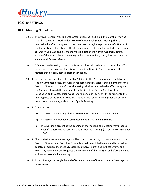

# <span id="page-14-0"></span>**10.0 MEETINGS**

### <span id="page-14-1"></span>**10.1 Meeting Guidelines**

- 10.1.1 The Annual General Meeting of the Association shall be held in the month of May no later than the fourth Wednesday. Notice of the Annual General meeting shall be deemed to be effectively given to the Members through the placement of a Notice of the Annual General Meeting by the Association on the Association website for a period of Twenty-One (21) days before the meeting date of the Annual General Meeting. Notice of the Annual General Meeting shall set out the time, place, date and agenda for such Annual General Meeting.
- 10.1.2 A Semi-Annual Meeting of the Association shall be held no later than December 30<sup>th</sup> of each year for the express of receiving the Audited Financial Statements and other matters that properly come before the meeting.
- 10.1.3 Special meetings must be called within 14 days by the President upon receipt, by the Hockey Edmonton office, of a written request signed by at least three members of the Board of Directors. Notice of Special meetings shall be deemed to be effectively given to the Members through the placement of a Notice of the Special Meeting of the Association on the Association website for a period of Fourteen (14) days prior to the meeting date of the Special Meeting. Notice of the Special Meeting shall set out the time, place, date and agenda for such Special Meeting.
- 10.1.4 A Quorum for:
	- (a) an Association meeting shall be **10 members**, except as provided below;
	- (b) an Association Executive Committee meeting shall be **4 members**.
	- (c) If a quorum is present at the opening of the meeting, the meeting may proceed even if a quorum is not present throughout the meeting. (Canadian Non-Profit Act 164-3).
- 10.1.5 All Association General meetings shall be open to the public, but only members of the Board of Directors and Executive Committee shall be entitled to vote and take part in debates or address the meeting, except as otherwise provided in these Bylaws and Rules. Any other individual requires the permission of the Chairperson before they may address any Association meeting.
- 10.1.6 From mid-August through the end of May a minimum of four (4) General Meetings shall be convened.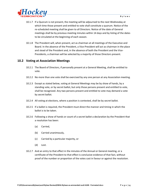

- 10.1.7 If a Quorum is not present, the meeting will be adjourned to the next Wednesday at which time those present and entitled to vote shall constitute a quorum. Notice of the re-scheduled meeting shall be given to all Directors. Notice of the date of General meetings shall be by previous meeting minutes within 14 days and by listing of the dates to be circulated at the beginning of each season.
- 10.1.8 The President will, when present, act as chairman at all meetings of the Executive and Board. In the absence of the President, a Vice-President will act as chairman in the place and stead of the President and, in the absence of both the President and the Vice-Presidents, a chairman will be selected by a majority of those Directors present.

### <span id="page-15-0"></span>**10.2 Voting at Association Meetings**

- 10.2.1 The Board of Directors, if personally present at a General Meeting, shall be entitled to vote.
- 10.2.2 No more than one vote shall be exercised by any one person at any Association meeting.
- 10.2.3 Except as stated below, voting at General Meetings may be by show of hands, by a standing vote, or by secret ballot, but only those persons present and entitled to vote, shall be recognized. Any two persons present and entitled to vote may demand a vote by secret ballot.
- 10.2.4 All voting at elections, where a position is contested, shall be by secret ballot.
- 10.2.5 If a ballot is required, the President must direct the manner and timing in which the ballot is to be taken.
- 10.2.6 Following a show of hands or count of a secret ballot a declaration by the President that a resolution has been:
	- (a) Carried,
	- (b) Carried unanimously,
	- (c) Carried by a particular majority, or
	- (d) Lost.
- 10.2.7 And an entry to that effect in the minutes of the Annual or General meeting, or a certificate of the President to that effect is conclusive evidence of that fact, without proof of the number or proportion of the votes cast in favour or against the resolution.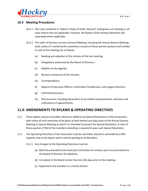

### <span id="page-16-0"></span>**10.3 Meeting Procedures**

- 10.3.1 The rules contained in "Robert's Rules of Order, Revised" shall govern all meetings in all cases where they are applicable, however, the Bylaws of the Hockey Edmonton will supersede where applicable.
- 10.3.2 The order of business at every General Meeting, including the Annual General Meeting, shall, unless it is varied by the unanimous consent of those persons present and entitled to vote at the meeting, be as follows:
	- (a) Reading and adoption of the minutes of the last meeting;
	- (b) Delegations authorized by the Board of Directors;
	- (c) Addition to the Agenda;
	- (d) Business arising out of the minutes;
	- (e) Correspondence;
	- (f) Reports of Executive Officers, Committee Chairpersons, and League Directors;
	- (g) Unfinished business;
	- (h) New business, including declaration of accredited representatives, elections and ratifications of appointments.

# <span id="page-16-1"></span>**11.0 AMENDMENTS TO BYLAWS & OPERATING DIRECTIVES**

- 11.1 These bylaws may be rescinded, altered or added to by Special Resolutions of the Association, with notice of such resolution to be given at least twenty-one days prior to the Annual General Meeting or Special Meeting at which it is intended to present the Special Resolution. A vote of three quarters (75%) of the members attending is required to pass such Special Resolution.
- 11.2 The Operating Directives of the Association may be rescinded, altered or amended by a 60% majority vote of the Board, which shall be binding on all Members.
	- 11.2.1 Any changes to the Operating Directives must be:
		- (a) Must be presented to the Executive Committee for analysis prior to presentation to the Board of Directors for adoption;
		- (b) Circulated to the Board no less than ten (10) days prior to the meeting;
		- (c) Reported to the members in a timely fashion.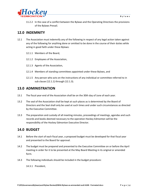

11.2.2 In the case of a conflict between the Bylaws and the Operating Directives the provisions of the Bylaws Prevail.

# <span id="page-17-0"></span>**12.0 INDEMNITY**

- 12.1 The Association must indemnify any of the following in respect of any legal action taken against any of the following for anything done or omitted to be done in the course of their duties while acting in good faith under these Bylaws:
	- 12.1.1 Members of the Board,
	- 12.1.2 Employees of the Association,
	- 12.1.3 Agents of the Association,
	- 12.1.4 Members of standing committees appointed under these Bylaws, and
	- 12.1.5 Any person who acts on the instructions of any individual or committee referred to in sub clause (12.1.1) through (12.1.3).

### <span id="page-17-1"></span>**13.0 ADMINISTRATION**

- 13.1 The fiscal year-end of the Association shall be on the 30th day of June of each year.
- 13.2 The seal of the Association shall be kept at such places as is determined by the Board of Directors and the Seal shall only be used at such times and under such circumstances as directed by the Executive Committee.
- 13.3 The preparation and custody of all meeting minutes, proceedings of meetings, agendas and such records and books deemed necessary to the operation Hockey Edmonton will be the responsibility of the Hockey Edmonton Executive Director.

# <span id="page-17-2"></span>**14.0 BUDGET**

- 14.1 Before the start of each fiscal year, a proposed budget must be developed for that fiscal year and presented to the Board for approval.
- 14.2 The budget must be prepared and presented to the Executive Committee on or before the April meeting in order for it to be presented at the May Board Meeting in its original or amended form.
- 14.3 The following individuals should be included in the budget procedure:

14.3.1 President,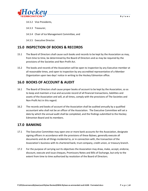



#### 14.3.2 Vice Presidents,

14.3.3 Treasurer,

14.3.4 Chair of Ice Management Committee, and

14.3.5 Executive Director.

# <span id="page-18-0"></span>**15.0 INSPECTION OF BOOKS & RECORDS**

- 15.1 The Board of Directors shall cause such books and records to be kept by the Association as may, from time to time, be determined by the Board of Directors and as may be required by the provisions of the Societies and Non-Profit Act.
- 15.2 The books and records of the Association will be open to inspection by any Executive member at all reasonable times, and open to inspection by any accredited representative of a Member Organization upon two days' notice in writing to the Hockey Edmonton office.

# <span id="page-18-1"></span>**16.0 BOOKS OF ACCOUNT & AUDIT**

- 16.1 The Board of Directors shall cause proper books of account to be kept by the Association, so as to keep and maintain a true and accurate record of all financial transactions, liabilities and assets of the Association and will, at all times, comply with the provisions of The Societies and Non-Profit Act in this regard.
- 16.2 The records and books of account of the Association shall be audited annually by a qualified accountant who shall not be an officer of the Association. The Executive Committee will set a date by which the annual audit shall be completed, and the findings submitted to the Hockey Edmonton Board and its members.

### <span id="page-18-2"></span>**17.0 BANKING**

- 17.1 The Executive Committee may open one or more bank accounts for the Association, designate signing officers in accordance with the provisions of these Bylaws, generally execute all documents and do all things incidental to, or in connection with, the transaction of the Association's business with its chartered bank, trust company, credit union, or treasury branch.
- 17.2 For the purpose of carrying out its objectives the Association may draw, make, accept, endorse, discount, execute and issue cheques, Promissory Notes and Bills of Exchange, but only to the extent from time to time authorized by resolution of the Board of Directors.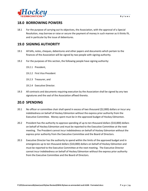

# <span id="page-19-0"></span>**18.0 BORROWING POWERS**

18.1 For the purpose of carrying out its objectives, the Association, with the approval of a Special Resolution, may borrow or raise or secure the payment of money in such manner as it thinks fit, and in particular by the issue of debentures.

# <span id="page-19-1"></span>**19.0 SIGNING AUTHORITY**

- 19.1 All bills, notes, cheques, debentures and other papers and documents which pertain to the finances of the Association will be signed by two people with signing authority.
- 19.2 For the purposes of this section, the following people have signing authority:
	- 19.2.1 President,
	- 19.2.2 First Vice President
	- 19.2.3 Treasurer, and
	- 19.2.4 Executive Director.
- 19.3 All contracts and documents requiring execution by the Association shall be signed by any two signatures and the seal of the Association affixed thereto.

# <span id="page-19-2"></span>**20.0 SPENDING**

- 20.1 No officer or committee chair shall spend in excess of two thousand (\$2,000) dollars or incur any indebtedness on behalf of Hockey Edmonton without the express prior authority from the Executive Committee. Money spent must be in the approved budget of Hockey Edmonton.
- 20.2 President has the authority to approve spending of up to ten thousand dollars (\$10,000) dollars on behalf of Hockey Edmonton and must be reported to the Executive Committee at the next meeting. The President cannot incur indebtedness on behalf of Hockey Edmonton without the express prior authority from the Executive Committee and the Board of Directors.
- 20.3 Executive Director has the authority to spend within the limits of the approved budget and in emergencies up to ten thousand dollars (\$10,000) dollars on behalf of Hockey Edmonton and must be reported to the Executive Committee at the next meeting. The Executive Director cannot incur indebtedness on behalf of Hockey Edmonton without the express prior authority from the Executive Committee and the Board of Directors.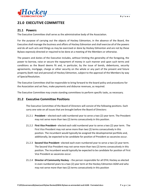

# <span id="page-20-0"></span>**21.0 EXECUTIVE COMMITTEE**

### <span id="page-20-1"></span>**21.1 Powers**

The Executive Committee shall serve as the administrative body of the Association.

For the purpose of carrying out the objects of Hockey Edmonton, in the absence of the Board, the Executive shall manage the business and affairs of Hockey Edmonton and shall exercise all of the powers and do all such acts and things as may be exercised or done by Hockey Edmonton and are not by these Bylaws expressly directed or required to be done at a meeting of the Members or otherwise.

The powers and duties of the Executive includes, without limiting the generality of the foregoing, the power to borrow, raise or secure the repayment of money in such manner and upon such terms and conditions as the Board deems fit and, in particular, by the issue of bonds, debentures, security agreements, mortgage, charge or other security on the whole or any part of the present and future property (both real and personal) of Hockey Edmonton, subject to the approval of the Members by way of Special Resolution.

The Executive Committee shall be responsible to bring forward to the board policy and procedures for the Association and set fees, make payments and disburse revenues, as required.

The Executive Committee may create standing committees to perform specific tasks, as necessary.

### <span id="page-20-2"></span>**21.2 Executive Committee Positions**

The Executive Committee of the Board of Directors will consist of the following positions. Each carry one vote on all issues that are brought before the Board of Directors:

- 21.2.1 **President** elected each odd numbered year to serve a two (2) year term. The President may not serve more than two (2) terms consecutively in this position.
- 21.2.2 **First Vice President** elected each odd numbered year to serve a two (2) year term. The First Vice President may not serve more than two (2) terms consecutively in this position. The incumbent would typically be assigned the developmental portfolio and, additionally, be expected to be candidate for position of President as vacancies occur.
- 21.2.3 **Second Vice President** elected each even numbered year to serve a two (2) year term. The Second Vice President may not serve more than two (2) terms consecutively in this position. The incumbent would typically be expected to be candidate for position of First Vice President as vacancies occur.
- 21.2.4 **Director of Community Hockey** the person responsible for all EFHL Hockey as elected in even numbered years to a two (2) year term at the Hockey Edmonton AGM and who may not serve more than two (2) terms consecutively in this position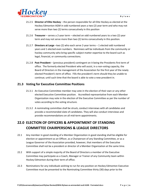

- 21.2.5 **Director of Elite Hockey** the person responsible for all Elite Hockey as elected at the Hockey Edmonton AGM in odd numbered years a two (2) year term and who may not serve more than two (2) terms consecutively in this position
- 21.2.6 **Treasurer** serves a 2-year term elected on odd numbered years to a two (2) year term and may not serve more than two (2) terms consecutively in this position.
- 21.2.7 **Directors at Large** –two (2) who each serve 2-year terms 1 elected odd numbered years and 1 elected even numbers. Nominees will be individuals from the community or hockey community who bring specific subject matter expertise to the board such as legal, financial, or community connections.
- 21.2.8 **Past President**  (previous president) contingent on it being the Presidents first term of office. The formerly elected President who will assist, in a non-voting capacity, the Board of Directors in the management of the Association for the first year of the newly elected President's term of office. Fills the president's term should they be unable to continue; until such time that the board is able to vote a new president in.

### <span id="page-21-0"></span>**21.3 Voting for Executive Committee Positions**

- 21.3.1 An Executive Committee member may vote in the election of their own or any other elected Executive Committee position. Accredited representative from each Member Organization may vote in the election of the Executive Committee as per the number of votes according to the voting structure.
- 21.3.2 A nominating committee shall be struck, conduct interviews with all candidates and provide a recommended slate of candidates. They will also conduct interviews and provide recommendations on all mid-term appointments.

# <span id="page-21-1"></span>**22.0 ELECTION OF OFFICERS & APPOINTMENT OF STANDING COMMITTEE CHAIRPERSONS & LEAGUE DIRECTORS**

- 22.1 Any member in good standing of a Member Organization in good standing shall be eligible for election or appointment as an Officer, as a Chairperson of any Standing Committee, or as a League Governor of the Association provided, however, that members of the Executive Committee shall not be a president or director of a Member Organization at the same time.
- 22.2 With support of a simple majority of the Board of Directors a member of the Executive Committee may participate as a Coach, Manager or Trainer of any Community team within Hockey Edmonton during their term of office.
- 22.3 Nominations for any individuals wishing to run for any position on Hockey Edmonton Executive Committee must be presented to the Nominating Committee thirty (30) days prior to the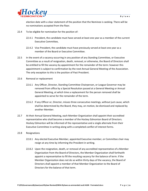

election date with a clear statement of the position that the Nominee is seeking. There will be no nominations accepted from the floor.

- 22.4 To be eligible for nomination for the position of:
	- 22.4.1 President, the candidate must have served at least one year as a member of the current Executive Committee,
	- 22.4.2 Vice President, the candidate must have previously served at least one year as a member of the Board or Executive Committee.
- 22.5 In the event of a vacancy occurring in any position of any Standing Committee, or Executive Committee as a result of resignation, death, removal, or otherwise, the Board of Directors shall be entitled to fill the vacancy by appointment for the remainder of the term: however this appointment is subject to confirmation by the next Annual General Meeting of the Association. The only exception to this is the position of Past President.
- 22.6 Removal or replacement
	- 22.6.1 Any Officer, Director, Standing Committee Chairperson, or League Governor may be removed from office by a Special Resolution passed at a General Meeting or Annual General Meeting, at which time a replacement for the person removed shall be appointed to serve for the remainder of the term.
	- 22.6.2 If any Officer or, Director, misses three consecutive meetings, without just cause, which shall be determined by the Board, they may, on motion, be dismissed and replaced by another Member.
- 22.7 At their Annual General Meeting, each Member Organization shall appoint their accredited representative who shall become a member of the Hockey Edmonton Board of Directors. Hockey Edmonton will be informed of the representative and a single alternate from their Executive Committee in writing along with a completed conflict of interest forms.
- 22.8 Resignations
	- 22.8.1 Any elected Executive Member, appointed Executive member, or Committee chair may resign at any time by informing the President in writing.
	- 22.8.2 Upon the resignation, death, or removal of any accredited representative of a Member Organization from the Board of Directors, the Member Organization shall forthwith appoint a representative to fill the resulting vacancy for the balance of term. If the Member Organization does not do so within thirty days of the vacancy, the Board of Directors shall appoint a member of that Member Organization to the Board of Directors for the balance of that term.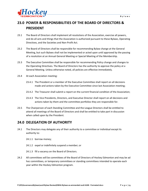

# <span id="page-23-0"></span>**23.0 POWER & RESPONSIBILITIES OF THE BOARD OF DIRECTORS & PRESIDENT**

- 23.1 The Board of Directors shall implement all resolutions of the Association, exercise all powers, and do all acts and things that the Association is authorized pursuant to these Bylaws, Operating Directives, and the Societies and Non-Profit Act.
- 23.2 The Board of Directors shall be responsible for recommending Bylaw change at the General Meeting, but such Bylaws shall not be implemented or acted upon until approved by the passing of a resolution at an Annual General Meeting or Special Meeting of the Membership.
- 23.3 The Executive Committee shall be responsible for recommending Policy change and changes to the Operating Directives. The Board of Directors has the authority to approve the policy at a General Meeting. Unless otherwise noted, all policies are effective immediately.
- 23.4 At each Association meeting:
	- 23.4.1 The President or a member of the Executive Committee shall report on all decisions made and actions taken by the Executive Committee since last Association meeting;
	- 23.4.2 The Treasurer shall submit a report on the current financial condition of the Association;
	- 23.4.3 The Vice Presidents, Directors, and Executive Director shall report on all decisions and actions taken by them and the committee portfolios they are responsible for.
- 23.5 The Chairperson of each Standing Committee and the League Directors shall be entitled to attend all meetings of the Board of Directors and shall be entitled to take part in discussion when called upon by the President.

# <span id="page-23-1"></span>**24.0 DELEGATION OF AUTHORITY**

- 24.1 The Directors may delegate any of their authority to a committee or individual except its authority to:
	- 24.1.1 borrow money;
	- 24.1.2 expel or indefinitely suspend a member; or
	- 24.1.3 fill a vacancy on the Board of Directors.
- 24.2 All committees will be committees of the Board of Directors of Hockey Edmonton and may be ad hoc committees, or temporary committees or standing committees intended to operate each year within the Hockey Edmonton program.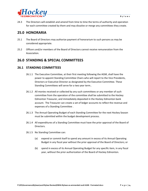

24.3 The Directors will establish and amend from time to time the terms of authority and operation for each committee created by them and may dissolve or merge any committees they create.

# <span id="page-24-0"></span>**25.0 HONORARIA**

- 25.1 The Board of Directors may authorize payment of honorarium to such persons as may be considered appropriate.
- 25.2 Officers and/or members of the Board of Directors cannot receive remuneration from the Association.

# <span id="page-24-1"></span>**26.0 STANDING & SPECIAL COMMITTEES**

### <span id="page-24-2"></span>**26.1 STANDING COMMITTEES**

- 26.1.1 The Executive Committee, at their first meeting following the AGM, shall have the power to appoint Standing Committee Chairs who will report to the Vice Presidents, Directors or Executive Director as designated by the Executive Committee. These Standing Committees will serve for a two year term..
- 26.1.2 All monies received or collected by any such committees or any member of such committee from the operation of the committee shall be submitted to the Hockey Edmonton Treasurer, and immediately deposited in the Hockey Edmonton bank account. The Treasurer can create a set of ledger accounts to reflect the revenue and expenses of a Standing Committee .
- 26.1.3 The Annual Operating Budget of each Standing Committee for the next Hockey Season must be submitted within the budget development process.
- 26.1.4 All expenditures of a Standing Committee must have the prior approval of the Board of Directors.
- 26.1.5 No Standing Committee can:
	- (a) expend or commit itself to spend any amount in excess of its Annual Operating Budget in any fiscal year without the prior approval of the Board of Directors; or
	- (b) spend in excess of its Annual Operating Budget for any specific item, in any fiscal year, without the prior authorization of the Board of Hockey Edmonton.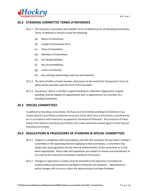

### <span id="page-25-0"></span>**26.2 STANDING COMMITTEE TERMS of REFERENCE**

- 26.2.1 The Executive Committee will establish Terms of Reference for all Standing Committees. Terms of Reference should include the following:
	- (a) Name of Committee,
	- (b) Length of Committee term,
	- (c) Chair of Committee,
	- (d) Members of Committee,
	- (e) Key Responsibilities,
	- (f) Key Accountabilities,
	- (g) Limits of Authority,
	- (h) Key working relationships (internal and external).
- 26.2.2 The term of office of each member shall expire at the end of the Chairperson's term of office which coincides with the term of the President.
- 26.2.3 Any person, who is a member in good standing of a Member Organization in good standing, shall be eligible for appointment and re-appointment as a member of a Standing Committee.

### <span id="page-25-1"></span>**26.3 SPECIAL COMMITTEES**

In addition to Standing Committees, the Executive Committee and Board of Directors may create Special Committees as deemed necessary which shall carry out functions, and otherwise act in accordance with resolutions as passed by the Board of Directors. All provisions of these bylaws that relate to Standing Committees will (unless otherwise stated) apply to each Special Standing Committee.

### <span id="page-25-2"></span>**26.4 REGULATIONS & PROCEDURES OF STANDING & SPECIAL COMMITTEES**

- 26.4.1 Subject to compliance with these Bylaws and with the resolution (if any) which created a committee or the operating directive applying to that committee, a committee may adopt rules and regulations for the internal administration of the committee as it may deem appropriate. These rules and regulations are subject to review and amendment at any time by the Executive Committee and Board of Directors.
- 26.4.2 Changes to operations or policy must be directed to the Executive Committee for analysis before presentation to the Board of Directors for adoption. Operational or policy changes will not occur unless the above process has been followed.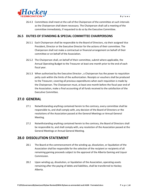

26.4.3 Committees shall meet at the call of the Chairperson of the committee at such intervals as the Chairperson shall deem necessary. The Chairperson shall call a meeting of the committee immediately, if requested to do so by the Executive Committee.

### <span id="page-26-0"></span>**26.5 DUTIES OF STANDING & SPECIAL COMMITTEE CHAIRPERSONS**

- 26.5.1 Each Chairperson shall be responsible to the Board of Directors, via their assigned Vice President, Director or the Executive Director for the actions of their committee. The Chairperson shall not make a contractual or financial arrangement on behalf of their committee or on behalf of the Association.
- 26.5.2 The Chairperson shall, on behalf of their committee, submit where applicable, the Annual Operating Budget to the Treasurer at least one month prior to the end of each fiscal year.
- 26.5.3 When authorized by the Executive Director-, a Chairperson has the power to requisition petty cash within the limits of the authorization. Receipts or vouchers shall be produced to the Treasurer, covering all previous expenditures when each requisition is made by the Chairperson. The Chairperson must, at least one month before the fiscal year end of the Association, make a final accounting of all funds received to the satisfaction of the Executive Committee.

# <span id="page-26-1"></span>**27.0 GENERAL**

- 27.1 Notwithstanding anything contained herein to the contrary, every committee shall be responsible to, and shall comply with, any decision of the Board of Directors or the resolutions of the Association passed at the General Meetings or Annual General Meeting.
- 27.2 Notwithstanding anything contained herein to the contrary, the Board of Directors shall be responsible to, and shall comply with, any resolution of the Association passed at the General Meetings or Annual General Meeting.

# <span id="page-26-2"></span>**28.0 DISSOLUTION STATEMENT**

- 28.1 The Board at the commencement of the winding up, dissolution, or liquidation of the Association shall be responsible for the selection of the recipient or recipients of all remaining gaming proceeds subject to the approval of the Alberta Gaming and Liquor Commission.
- 28.2 Upon winding up, dissolution, or liquidation of the Association, operating assets remaining after the paying of debts and liabilities, shall be transferred to Hockey Alberta.